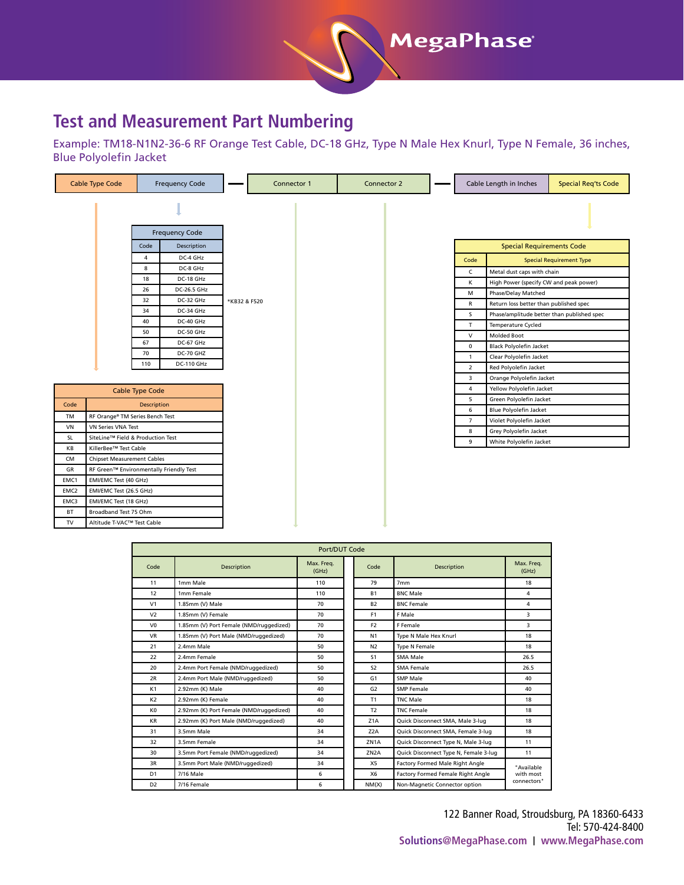

## **Test and Measurement Part Numbering**

Example: TM18-N1N2-36-6 RF Orange Test Cable, DC-18 GHz, Type N Male Hex Knurl, Type N Female, 36 inches, Blue Polyolefin Jacket

|                                         | <b>Cable Type Code</b>                         |      | <b>Frequency Code</b> |              | Connector 1 |  | Connector 2 |                | Cable Length in Inches   |                                            | <b>Special Reg'ts Code</b>      |
|-----------------------------------------|------------------------------------------------|------|-----------------------|--------------|-------------|--|-------------|----------------|--------------------------|--------------------------------------------|---------------------------------|
|                                         |                                                |      |                       |              |             |  |             |                |                          |                                            |                                 |
|                                         |                                                |      | <b>Frequency Code</b> |              |             |  |             |                |                          |                                            |                                 |
|                                         |                                                | Code | Description           |              |             |  |             |                |                          | <b>Special Requirements Code</b>           |                                 |
|                                         |                                                | 4    | DC-4 GHz              |              |             |  |             |                | Code                     |                                            | <b>Special Requirement Type</b> |
|                                         |                                                | 8    | DC-8 GHz              |              |             |  |             |                | C                        | Metal dust caps with chain                 |                                 |
|                                         |                                                | 18   | DC-18 GHz             |              |             |  |             |                | Κ                        | High Power (specify CW and peak power)     |                                 |
|                                         |                                                | 26   | DC-26.5 GHz           |              |             |  |             |                | м                        | Phase/Delay Matched                        |                                 |
|                                         |                                                | 32   | DC-32 GHz             | *KB32 & F520 |             |  |             |                | R                        | Return loss better than published spec     |                                 |
|                                         |                                                | 34   | DC-34 GHz             |              |             |  |             |                | $\mathsf{s}$             | Phase/amplitude better than published spec |                                 |
|                                         |                                                | 40   | DC-40 GHz             |              |             |  |             |                | $\mathsf T$              | Temperature Cycled                         |                                 |
|                                         |                                                | 50   | DC-50 GHz             |              |             |  |             |                | $\vee$                   | <b>Molded Boot</b>                         |                                 |
|                                         |                                                | 67   | DC-67 GHz             |              |             |  |             |                | $\mathbf 0$              | Black Polyolefin Jacket                    |                                 |
|                                         |                                                | 70   | DC-70 GHZ             |              |             |  |             |                | $\mathbf{1}$             | Clear Polyolefin Jacket                    |                                 |
|                                         |                                                | 110  | <b>DC-110 GHz</b>     |              |             |  |             |                | $\overline{2}$           | Red Polyolefin Jacket                      |                                 |
|                                         |                                                |      |                       |              |             |  |             |                | $\overline{3}$           | Orange Polyolefin Jacket                   |                                 |
| Cable Type Code                         |                                                |      |                       |              |             |  |             | $\overline{4}$ | Yellow Polyolefin Jacket |                                            |                                 |
|                                         |                                                |      |                       |              |             |  |             |                | 5                        | Green Polyolefin Jacket                    |                                 |
| Code                                    | Description                                    |      |                       |              |             |  |             |                | 6                        | <b>Blue Polyolefin Jacket</b>              |                                 |
| TM                                      | RF Orange® TM Series Bench Test                |      |                       |              |             |  |             |                | $\overline{7}$           | Violet Polyolefin Jacket                   |                                 |
| VN                                      | <b>VN Series VNA Test</b>                      |      |                       |              |             |  |             | 8              | Grey Polyolefin Jacket   |                                            |                                 |
|                                         | SiteLine™ Field & Production Test<br><b>SL</b> |      |                       |              |             |  |             |                | 9                        | White Polyolefin Jacket                    |                                 |
|                                         | KillerBee™ Test Cable<br>KB                    |      |                       |              |             |  |             |                |                          |                                            |                                 |
| CM<br><b>Chipset Measurement Cables</b> |                                                |      |                       |              |             |  |             |                |                          |                                            |                                 |
| GR                                      | RF Green™ Environmentally Friendly Test        |      |                       |              |             |  |             |                |                          |                                            |                                 |
| EMC1                                    | EMI/EMC Test (40 GHz)                          |      |                       |              |             |  |             |                |                          |                                            |                                 |
| EMC <sub>2</sub>                        | EMI/EMC Test (26.5 GHz)                        |      |                       |              |             |  |             |                |                          |                                            |                                 |
| EMC3                                    | EMI/EMC Test (18 GHz)                          |      |                       |              |             |  |             |                |                          |                                            |                                 |
| <b>BT</b>                               | Broadband Test 75 Ohm                          |      |                       |              |             |  |             |                |                          |                                            |                                 |
| TV                                      | Altitude T-VAC™ Test Cable                     |      |                       |              |             |  |             |                |                          |                                            |                                 |

| Port/DUT Code  |                                         |                     |  |                   |                                       |                     |  |  |  |
|----------------|-----------------------------------------|---------------------|--|-------------------|---------------------------------------|---------------------|--|--|--|
| Code           | Description                             | Max. Freq.<br>(GHz) |  | Code              | Description                           | Max. Freq.<br>(GHz) |  |  |  |
| 11             | 1mm Male                                | 110                 |  | 79                | 7 <sub>mm</sub>                       | 18                  |  |  |  |
| 12             | 1mm Female                              | 110                 |  | <b>B1</b>         | <b>BNC Male</b>                       | 4                   |  |  |  |
| V <sub>1</sub> | 1.85mm (V) Male                         | 70                  |  | <b>B2</b>         | <b>BNC Female</b>                     |                     |  |  |  |
| V <sub>2</sub> | 1.85mm (V) Female                       | 70                  |  | F <sub>1</sub>    | F Male                                | 3                   |  |  |  |
| V <sub>0</sub> | 1.85mm (V) Port Female (NMD/ruggedized) | 70                  |  | F <sub>2</sub>    | F Female                              | 3                   |  |  |  |
| <b>VR</b>      | 1.85mm (V) Port Male (NMD/ruggedized)   | 70                  |  | N <sub>1</sub>    | Type N Male Hex Knurl                 | 18                  |  |  |  |
| 21             | 2.4mm Male                              | 50                  |  | N <sub>2</sub>    | <b>Type N Female</b>                  | 18                  |  |  |  |
| 22             | 2.4mm Female                            | 50                  |  | S <sub>1</sub>    | SMA Male                              | 26.5                |  |  |  |
| 20             | 2.4mm Port Female (NMD/ruggedized)      | 50                  |  | <b>S2</b>         | SMA Female                            | 26.5                |  |  |  |
| 2R             | 2.4mm Port Male (NMD/ruggedized)        | 50                  |  | G1                | <b>SMP Male</b>                       | 40                  |  |  |  |
| K1             | 2.92mm (K) Male                         | 40                  |  | G2                | SMP Female                            | 40                  |  |  |  |
| K <sub>2</sub> | 2.92mm (K) Female                       | 40                  |  | T1                | <b>TNC Male</b>                       | 18                  |  |  |  |
| K <sub>0</sub> | 2.92mm (K) Port Female (NMD/ruggedized) | 40                  |  | T2                | <b>TNC Female</b>                     | 18                  |  |  |  |
| <b>KR</b>      | 2.92mm (K) Port Male (NMD/ruggedized)   | 40                  |  | Z <sub>1</sub> A  | Quick Disconnect SMA, Male 3-luq      | 18                  |  |  |  |
| 31             | 3.5mm Male                              | 34                  |  | Z <sub>2</sub> A  | Quick Disconnect SMA, Female 3-luq    | 18                  |  |  |  |
| 32             | 3.5mm Female                            | 34                  |  | ZN <sub>1</sub> A | Quick Disconnect Type N, Male 3-luq   | 11                  |  |  |  |
| 30             | 3.5mm Port Female (NMD/ruggedized)      | 34                  |  | ZN <sub>2</sub> A | Quick Disconnect Type N, Female 3-luq | 11                  |  |  |  |
| 3R             | 3.5mm Port Male (NMD/ruggedized)        | 34                  |  | X <sub>5</sub>    | Factory Formed Male Right Angle       | "Available          |  |  |  |
| D <sub>1</sub> | 7/16 Male                               | 6                   |  | X <sub>6</sub>    | Factory Formed Female Right Angle     | with most           |  |  |  |
| D <sub>2</sub> | 7/16 Female                             | 6                   |  | NM(X)             | Non-Magnetic Connector option         | connectors"         |  |  |  |